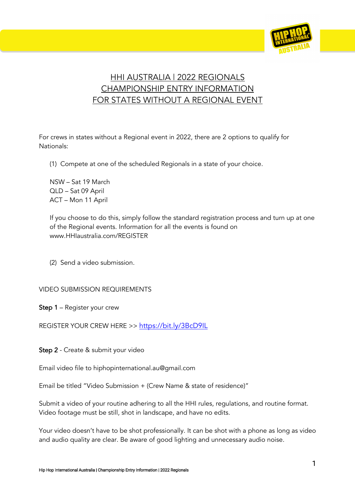

# HHI AUSTRALIA | 2022 REGIONALS CHAMPIONSHIP ENTRY INFORMATION FOR STATES WITHOUT A REGIONAL EVENT

For crews in states without a Regional event in 2022, there are 2 options to qualify for Nationals:

(1) Compete at one of the scheduled Regionals in a state of your choice.

NSW – Sat 19 March QLD – Sat 09 April ACT – Mon 11 April

If you choose to do this, simply follow the standard registration process and turn up at one of the Regional events. Information for all the events is found on www.HHIaustralia.com/REGISTER

(2) Send a video submission.

#### VIDEO SUBMISSION REQUIREMENTS

Step 1 – Register your crew

REGISTER YOUR CREW HERE >> https://bit.ly/3BcD9IL

Step 2 - Create & submit your video

Email video file to hiphopinternational.au@gmail.com

Email be titled "Video Submission + (Crew Name & state of residence)"

Submit a video of your routine adhering to all the HHI rules, regulations, and routine format. Video footage must be still, shot in landscape, and have no edits.

Your video doesn't have to be shot professionally. It can be shot with a phone as long as video and audio quality are clear. Be aware of good lighting and unnecessary audio noise.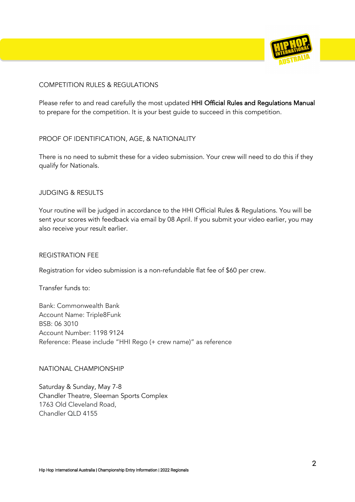

## COMPETITION RULES & REGULATIONS

Please refer to and read carefully the most updated HHI Official Rules and Regulations Manual to prepare for the competition. It is your best guide to succeed in this competition.

#### PROOF OF IDENTIFICATION, AGE, & NATIONALITY

There is no need to submit these for a video submission. Your crew will need to do this if they qualify for Nationals.

#### JUDGING & RESULTS

Your routine will be judged in accordance to the HHI Official Rules & Regulations. You will be sent your scores with feedback via email by 08 April. If you submit your video earlier, you may also receive your result earlier.

#### REGISTRATION FEE

Registration for video submission is a non-refundable flat fee of \$60 per crew.

Transfer funds to:

Bank: Commonwealth Bank Account Name: Triple8Funk BSB: 06 3010 Account Number: 1198 9124 Reference: Please include "HHI Rego (+ crew name)" as reference

#### NATIONAL CHAMPIONSHIP

Saturday & Sunday, May 7-8 Chandler Theatre, Sleeman Sports Complex 1763 Old Cleveland Road, Chandler QLD 4155